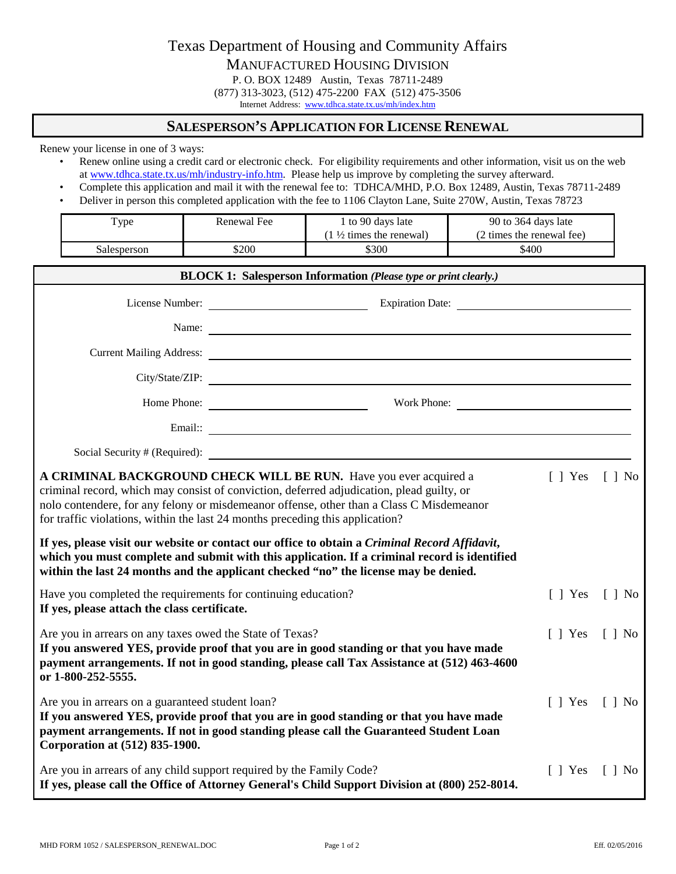Texas Department of Housing and Community Affairs MANUFACTURED HOUSING DIVISION P. O. BOX 12489 Austin, Texas 78711-2489 (877) 313-3023, (512) 475-2200 FAX (512) 475-3506

Internet Address: [www.tdhca.state.tx.us/mh/index.htm](http://www.tdhca.state.tx.us/mh/index.htm)

## **SALESPERSON'S APPLICATION FOR LICENSE RENEWAL**

Renew your license in one of 3 ways:

- Renew online using a credit card or electronic check. For eligibility requirements and other information, visit us on the web a[t www.tdhca.state.tx.us/mh/industry-info.htm.](http://www.tdhca.state.tx.us/mh/industry-info.htm) Please help us improve by completing the survey afterward.
- Complete this application and mail it with the renewal fee to: TDHCA/MHD, P.O. Box 12489, Austin, Texas 78711-2489
- Deliver in person this completed application with the fee to 1106 Clayton Lane, Suite 270W, Austin, Texas 78723

| $_{\rm vpe}$ | Renewal Fee | 1 to 90 days late                 | 90 to 364 days late       |
|--------------|-------------|-----------------------------------|---------------------------|
|              |             | $1\frac{1}{2}$ times the renewal) | (2 times the renewal fee) |
| Salesperson  | \$200       | \$300                             | \$400                     |

| <b>BLOCK 1: Salesperson Information (Please type or print clearly.)</b>                                                                                                                                                                                                                                                                                                     |                                                                                                                                                                                                                                                                                      |                       |                              |  |  |  |
|-----------------------------------------------------------------------------------------------------------------------------------------------------------------------------------------------------------------------------------------------------------------------------------------------------------------------------------------------------------------------------|--------------------------------------------------------------------------------------------------------------------------------------------------------------------------------------------------------------------------------------------------------------------------------------|-----------------------|------------------------------|--|--|--|
|                                                                                                                                                                                                                                                                                                                                                                             | License Number: Expiration Date:                                                                                                                                                                                                                                                     |                       |                              |  |  |  |
|                                                                                                                                                                                                                                                                                                                                                                             |                                                                                                                                                                                                                                                                                      |                       |                              |  |  |  |
|                                                                                                                                                                                                                                                                                                                                                                             |                                                                                                                                                                                                                                                                                      |                       |                              |  |  |  |
|                                                                                                                                                                                                                                                                                                                                                                             | City/State/ZIP:                                                                                                                                                                                                                                                                      |                       |                              |  |  |  |
|                                                                                                                                                                                                                                                                                                                                                                             | Home Phone: Work Phone:                                                                                                                                                                                                                                                              |                       |                              |  |  |  |
|                                                                                                                                                                                                                                                                                                                                                                             | Email:: <u>The Communication</u> of the Communication of the Communication of the Communication of the Communication of the Communication of the Communication of the Communication of the Communication of the Communication of th                                                  |                       |                              |  |  |  |
|                                                                                                                                                                                                                                                                                                                                                                             | Social Security # (Required):                                                                                                                                                                                                                                                        |                       |                              |  |  |  |
| A CRIMINAL BACKGROUND CHECK WILL BE RUN. Have you ever acquired a<br>$\lceil$   Yes $\lceil$   No<br>criminal record, which may consist of conviction, deferred adjudication, plead guilty, or<br>nolo contendere, for any felony or misdemeanor offense, other than a Class C Misdemeanor<br>for traffic violations, within the last 24 months preceding this application? |                                                                                                                                                                                                                                                                                      |                       |                              |  |  |  |
|                                                                                                                                                                                                                                                                                                                                                                             | If yes, please visit our website or contact our office to obtain a Criminal Record Affidavit,<br>which you must complete and submit with this application. If a criminal record is identified<br>within the last 24 months and the applicant checked "no" the license may be denied. |                       |                              |  |  |  |
| Have you completed the requirements for continuing education?<br>If yes, please attach the class certificate.                                                                                                                                                                                                                                                               |                                                                                                                                                                                                                                                                                      | $\lceil \ \rceil$ Yes | $\lceil \cdot \rceil$ No     |  |  |  |
| Are you in arrears on any taxes owed the State of Texas?<br>$\lceil \ \rceil$ Yes<br>If you answered YES, provide proof that you are in good standing or that you have made<br>payment arrangements. If not in good standing, please call Tax Assistance at (512) 463-4600<br>or 1-800-252-5555.                                                                            |                                                                                                                                                                                                                                                                                      |                       | $\lceil \cdot \rceil$ No     |  |  |  |
| Are you in arrears on a guaranteed student loan?<br>If you answered YES, provide proof that you are in good standing or that you have made<br>payment arrangements. If not in good standing please call the Guaranteed Student Loan<br>Corporation at (512) 835-1900.                                                                                                       |                                                                                                                                                                                                                                                                                      |                       | $\lceil$   Yes $\lceil$   No |  |  |  |
| Are you in arrears of any child support required by the Family Code?<br>If yes, please call the Office of Attorney General's Child Support Division at (800) 252-8014.                                                                                                                                                                                                      |                                                                                                                                                                                                                                                                                      |                       | $\lceil \cdot \rceil$ No     |  |  |  |